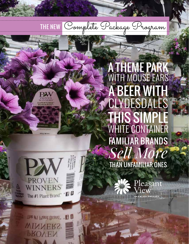



The #1 Plant Brand. 1 8 **WINNERS SOAEV** 

A THEME PARK WITH MOUSE EARS A BEER WITH CLYDESDALES **THIS SIMPL** WHITE CONTAINER FAMILIAR BRANDS *Sell More* THAN UNFAMILIAR ONES

THE NEW Complete Package Program



Pleasant iew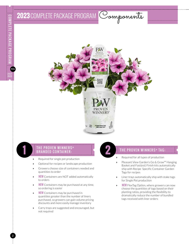# 2023 COMPLETE PACKAGE PROGRAM Components



#### THE PROVEN WINNERS® **BRANDED CONTAINER:**

- **»** Required for single pot production
- **»** Optional for recipes or landscape production
- **»** Growers choose size of containers needed and quantities to order
- **» NEW** Containers are NOT added automatically to orders
- **» NEW** Containers may be purchased at any time, so ordering is easier
- **» NEW** Containers may be purchased in quantities greater than the number of liners purchased, so growers can gain volume pricing discounts and more easily manage inventory
- **»** Carry trays are suggested and encouraged, but not required

#### THE PROVEN WINNERS<sup>®</sup> TAG:

- **»** Required for all types of production
- **»** Pleasant View Garden's Go & Grow™ Hanging Basket and Fast(est) Finish kits automatically ship with Recipe Specific Container Garden Tags for recipes
- **»** Liner trays automatically ship with stake tags for Single Pot production
- **» NEW** FlexTag Option, where growers can now choose the quantities of tags based on their planting ratios, providing the flexibility to dramatically reduce the number of bundled tags received with liner orders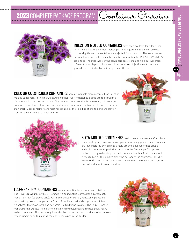**PVG**





INJECTION MOLDED CONTAINERS have been available for a long time.

In this manufacturing method, molten plastic is 'injected' into a mold, allowed to cool slightly, and the containers are ejected from the mold. This very precise manufacturing method creates the best tag-lock system for PROVEN WINNERS® stake tags. The thick walls of the containers are strong and rigid but will crack if flexed too much particularly in cold temperatures. Injection containers are generally recognizable by their large rim at the top.

COEX OR COEXTRUDED CONTAINERS became available more recently than injection molded containers. In this manufacturing method, rolls of flattened plastic are fed through a die where it is stretched into shape. This creates containers that have smooth, thin walls and are much more flexible than injection containers– Coex pots tend to crumple and crush rather than crack. Coex containers are most recognized by the rolled lip at the top and are gray or black on the inside with a white exterior.





**BLOW MOLDED CONTAINERS** are known as 'nursery cans' and have been used by perennial and shrub growers for many years. These containers are manufactured by clamping a mold around a balloon of hot plastic while air continues to push the plastic into the final shape. This process evolved from glassblowing. The end container has thin, flexible walls and is recognized by the dimples along the bottom of the container. PROVEN WINNERS® blow molded containers are white on the outside and black on the inside similar to coex containers.

ECO+GRANDE™ CONTAINERS are a new option for growers and retailers. The PROVEN WINNERS® ECO+ Grande™ is an industrial compostable garden pot, made from PLA (polylactic acid). PLA is comprised of starchy renewable plants like corn, switchgrass, and sugar beets. Starch from these materials is processed into a biopolymer that looks, acts, and performs like traditional plastics. The ECO+Grande™ manufacturing process is similar to injection manufacturing and creates thick, heavy walled containers. They are easily identified by the pull tabs on the sides to be removed by consumers prior to planting the entire container in the garden.

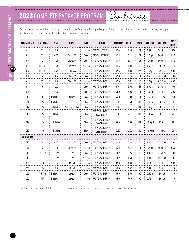## 2023 COMPLETE PACKAGE PROGRAM Containers

Below are all the container and tray options for the Complete Package Program, including container number, the trays it fits, the type and brand of container, as well as the dimensions and case counts.

| <b>CONTAINER#</b> | <b>FITS TRAY#</b> | <b>SIZE</b>         | <b>NAME</b>         | <b>TYPE</b> | <b>BRAND</b>                    | <b>DIAMETER</b> | <b>HEIGHT</b> | <b>MAN.</b> | <b>VOLUME</b> | <b>VOLUME</b> | <b>CASE</b><br><b>COUNT</b> |
|-------------------|-------------------|---------------------|---------------------|-------------|---------------------------------|-----------------|---------------|-------------|---------------|---------------|-----------------------------|
| C1                | T1                | 3.5                 |                     | Injection   | PROVEN ACCENTS®                 | 3.50            | 3.38          | EJ          | $0.77$ pt     | 363.9 ml      | 1,950                       |
| C <sub>2</sub>    | T <sub>2</sub>    | 4.25                | Grande™             | Coex        | PROVEN SELECTIONS®              | 4.33            | 5.13          | $E_{\rm J}$ | $1.71$ pt     | 809.0 ml      | 840                         |
| C <sub>3</sub>    | T <sub>2</sub>    | 4.25                | Grande™             | Coex        | PROVEN WINNERS®                 | 4.33            | 5.13          | $E_{\rm J}$ | $1.71$ pt     | 809.0 ml      | 840                         |
| C4                | T3, T10           | 4.25                | Grande™             | Injection   | PROVEN WINNERS®                 | 4.25            | 4.94          | HC          | $1.56$ pt     | 740.0 ml      | 440                         |
| C5                | T3, T10           | 4.25                | ECO+Grande™         | ECO+        | PROVEN WINNERS®                 | 4.25            | 4.94          | PW          | $1.57$ pt     | 743.0 ml      | 300                         |
| C6                | T <sub>4</sub>    | 4.5                 | Classic™            | Coex        | PROVEN WINNERS®                 | 4.50            | 3.75          | E           | $1.42$ pt     | 671.9 ml      | 1,000                       |
| C7                | T <sub>5</sub>    | 4.5                 | Classic™            | Injection   | PROVEN WINNERS®                 | 4.50            | 3.81          | HC          | $1.31$ pt     | 619.8 ml      | 400                         |
| C8                | T <sub>6</sub>    | 1 Quart             |                     | Coex        | PROVEN WINNERS®                 | 4.70            | 5.00          | EJ          | $1.00$ qt     | 946.0 ml      | 700                         |
| C9                | T7                | 6.5                 |                     | Coex        | PROVEN WINNERS®                 | 6.50            | 5.00          | E           | $2.00$ qt     | 1.9 liter     | 300                         |
| C10               | T <sub>8</sub>    | <b>Trade Gallon</b> | Royale <sup>®</sup> | Coex        | PROVEN WINNERS®                 | 6.30            | 6.38          | E           | $2.50$ qt     | 2.4 liter     | 270                         |
| C11               | n/a               | <b>Trade Gallon</b> |                     | Blow        | PROVEN WINNERS®                 | 6.13            | 6.50          | <b>NSI</b>  | $2.60$ qt     | 2.5 liter     | 50                          |
| C12               | n/a               | 1 Gallon            | Premium 1 Gallon    | Blow        | PROVEN WINNERS®                 | 7.50            | 7.13          | <b>NSI</b>  | $1.00$ gal    | 3.8 liter     | 50                          |
| C13               | n/a               | 1 Gallon            |                     | Blow        | PROVEN WINNERS®<br>ColorChoice® | 7.50            | 7.13          | <b>NSI</b>  | $1.00$ gal    | 3.8 liter     | 28                          |
| C14               | n/a               | 2 Gallon            |                     | Blow        | PROVEN WINNERS®<br>ColorChoice® | 8.88            | 9.38          | <b>NSI</b>  | 2.00 gal      | 7.7 liter     | 28                          |
| C15               | n/a               | 3 Gallon            |                     | Blow        | PROVEN WINNERS®<br>ColorChoice® | 10.50           | 12.00         | <b>NSI</b>  | 3.00 gal      | 11.4 liter    | 28                          |
| <b>NON-STOCK</b>  |                   |                     |                     |             |                                 |                 |               |             |               |               |                             |
| C16               | T <sub>9</sub>    | 4.25                | Grande™             | Coex        | PROVEN WINNERS®                 | 4.25            | 5.38          | HC          | $1.60$ pt     | 757.0 ml      | 500                         |
| C17               | T <sub>2</sub>    | 4.25                | Grande™             | Injection   | PROVEN WINNERS®                 | 4.33            | 5.13          | $E_{\rm J}$ | $1.71$ pt     | 809.0 ml      | 660                         |
| C18               | T11, T12          | 1 Quart             | Quart               | Coex        | PROVEN WINNERS®                 | 4.62            | 5.25          | HC          | $1.00$ qt     | 946.0 ml      | 400                         |
| C19               | <b>T13</b>        | 1 Quart             | Quart               | Injection   | PROVEN WINNERS®                 | 4.62            | 4.69          | HC          | 1.94 pt       | 917.9 ml      | 400                         |
| C20               | <b>T14</b>        | 6.5                 | 6.5 inch            | Injection   | PROVEN WINNERS®                 | 6.50            | 4.94          | <b>HC</b>   | $2.01$ qt     | 1.9 liter     | 300                         |
| C21               | n/a               | $\rm 8.0$           | 8.0 inch            | Injection   | PROVEN WINNERS®                 | 8.00            | 5.62          | HC          | 3.27 qt       | 3.1 liter     | 270                         |
| C22               | T15, T16          | <b>Trade Gallon</b> | Royale®             | Coex        | PROVEN WINNERS®                 | 6.50            | 6.50          | <b>HC</b>   | $2.50$ qt     | 2.4 liter     | 150                         |
| C23               | <b>T17</b>        | <b>Trade Gallon</b> | Royale <sup>®</sup> | Injection   | PROVEN WINNERS®                 | 6.50            | 7.00          | <b>HC</b>   | $2.72$ qt     | 2.6 liter     | 150                         |

Contact our Customer Relations Team for more information and assistance on ordering Non-Stock items.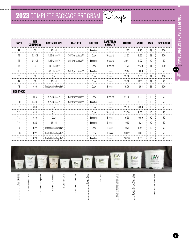| TRAY#            | <b>FITS</b><br><b>CONTAINER#</b> | <b>CONTAINER SIZE</b>            | <b>FEATURES</b>   | <b>FOR TYPE</b> | <b>CARRY TRAY</b><br><b>CAPACITY</b> | <b>LENGTH</b> | <b>WIDTH</b> | <b>MAN.</b> | <b>CASE COUNT</b> |
|------------------|----------------------------------|----------------------------------|-------------------|-----------------|--------------------------------------|---------------|--------------|-------------|-------------------|
| T1               | C <sub>1</sub>                   | 3.5 inch                         |                   | Injection       | 12 count                             | 12.13         | 9.25         | EJ          | 100               |
| T <sub>2</sub>   | C <sub>2</sub> , C <sub>3</sub>  | 4.25 Grande™                     | Self-Symetricize™ | Coex            | 10 count                             | 21.63         | 8.63         | EJ.         | 100               |
| T3               | C <sub>4</sub> .C <sub>5</sub>   | 4.25 Grande™                     | Self-Symetricize™ | Iniection       | 10 count                             | 22.41         | 8.97         | HC          | 50                |
| T <sub>4</sub>   | C6                               | 4.5 Classic™                     |                   | Coex            | 10 count                             | 8.69          | 22.38        | EJ          | 100               |
| T <sub>5</sub>   | C <sub>1</sub>                   | 4.5 Classic™                     | Self-Symetricize™ | Iniection       | 8 count                              | 19.44         | 10.00        | HC          | 50                |
| T <sub>6</sub>   | C8                               | Ouart                            |                   | Coex            | 8 count                              | 19.00         | 9.63         | EJ.         | 100               |
| T7               | C9                               | 6.5 inch                         |                   | Coex            | 6 count                              | 19.38         | 13.12        | EJ          | 50                |
| T <sub>8</sub>   | C10                              | Trade Gallon Rovale <sup>®</sup> |                   | Coex            | 3 count                              | 19.00         | 12.63        | EJ          | 100               |
| <b>NON-STOCK</b> |                                  |                                  |                   |                 |                                      |               |              |             |                   |
| T <sub>9</sub>   | C16                              | 4.25 Grande™                     | Self-Symetricize™ | Coex            | 10 count                             | 21.00         | 8.50         | HC          | 50                |
| <b>T10</b>       | C <sub>4</sub> .C <sub>5</sub>   | 4.25 Grande™                     | Self-Symetricize™ | Iniection       | 8 count                              | 17.88         | 9.00         | HC          | 50                |
| <b>T11</b>       | C18                              | Ouart                            |                   | Coex            | 8 count                              | 19.50         | 10.00        | HC          | 50                |
| <b>T12</b>       | C18                              | Ouart                            |                   | Coex            | 10 count                             | 23.00         | 9.06         | HC          | 50                |
| T13              | C19                              | Quart                            |                   | Injection       | 8 count                              | 19.50         | 10.00        | HC          | 50                |
| <b>T14</b>       | C20                              | 6.5 inch                         |                   | Iniection       | 6 count                              | 19.19         | 13.25        | HC          | 50                |
| <b>T15</b>       | C22                              | Trade Gallon Royale <sup>®</sup> |                   | Coex            | 3 count                              | 19.75         | 6.75         | HC          | 50                |
| <b>T16</b>       | C22                              | Trade Gallon Royale <sup>®</sup> |                   | Coex            | 6 count                              | 20.62         | 13.87        | HC          | 50                |
| <b>T17</b>       | C <sub>23</sub>                  | Trade Gallon Royale <sup>®</sup> |                   | Injection       | 3 count                              | 20.00         | 6.63         | <b>HC</b>   | 50                |



**PVG**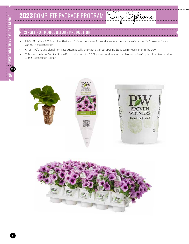### SINGLE POT MONOCULTURE PRODUCTION

- **»** PROVEN WINNERS® requires that each finished container for retail sale must contain a variety specific Stake tag for each variety in the container
- **»** All of PVG's young plant liner trays automatically ship with a variety specific Stake tag for each liner in the tray
- **»** This scenario is perfect for Single Pot production of 4.25 Grande containers with a planting ratio of 1 plant liner to container (1 tag: 1 container: 1 liner)



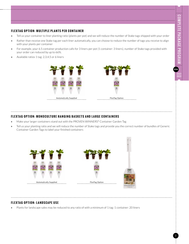**PVG**

#### **FLEXTAG OPTION: MULTIPLE PLANTS PER CONTAINER**

- **»** Tell us your container to liner planting ratio (plants per pot) and we will reduce the number of Stake tags shipped with your order
- **»** Rather than receive one Stake tag per each liner automatically, you can choose to reduce the number of tags you receive to align with your plants per container
- **»** For example, your 6.5 container production calls for 3 liners per pot (1 container: 3 liners), number of Stake tags provided with your order can reduced by up to 66%.
- **»** Available ratios 1 tag: 2,3,4,5 or 6 liners



#### **FLEXTAG OPTION: MONOCULTURE HANGING BASKETS AND LARGE CONTAINERS**

- **»** Make your larger containers stand out with the PROVEN WINNERS® Container Garden Tag
- **»** Tell us your planting ratio and we will reduce the number of Stake tags and provide you the correct number of bundles of Generic Container Garden Tags to label your finished containers



#### **FLEXTAG OPTION: LANDSCAPE USE**

**»** Plants for landscape sales may be reduced to any ratio of with a minimum of 1 tag: 1 container: 20 liners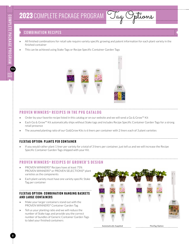**PVG**

### COMBINATION RECIPES

- **»** All finished combinations for retail sale require variety specific growing and patent information for each plant variety in the finished container
- **»** This can be achieved using Stake Tags or Recipe Specific Container Garden Tags



#### **PROVEN WINNERS ® RECIPES IN THE PVG CATALOG**

- **»** Order by your favorite recipe listed in this catalog or on our website and we will send a Go & Grow™ Kit
- **»** Each Go & Grow™ Kit automatically ships without Stake tags and includes Recipe Specific Container Garden Tags for a strong retail presence
- **»** The assumed planting ratio of our Go&Grow Kits is 6 liners per container with 2 liners each of 3 plant varieties

#### **FLEXTAG OPTION: PLANTS PER CONTAINER**

**»** If you would rather plant 1 liner per variety for a total of 3 liners per container, just tell us and we will increase the Recipe Specific Container Garden Tags shipped with your Kit.

#### **PROVEN WINNERS ® RECIPES OF GROWER'S DESIGN**

- **»** PROVEN WINNERS® Recipes have at least 75% PROVEN WINNERS® or PROVEN SELECTIONS® plant varieties as the components
- **»** Each plant variety must have one variety specific Stake Tag per container

#### **FLEXTAG OPTION: COMBINATION HANGING BASKETS AND LARGE CONTAINERS**

- **»** Make your larger containers stand out with the PROVEN WINNERS® Container Garden Tag
- **»** Tell us your planting ratio and we will reduce the number of Stake tags and provide you the correct number of bundles of Generic Container Garden Tags to label your finished containers



Automatically Supplied FlexTag Option

PW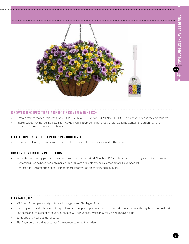**PVG**



#### **GROWER RECIPES THAT ARE NOT PROVEN WINNERS ®**

- **»** Grower recipes that contain less than 75% PROVEN WINNERS® or PROVEN SELECTIONS® plant varieties as the components
- **»** These recipes may not be marketed as PROVEN WINNERS® combinations; therefore, a large Container Garden Tag is not permitted for use on finished containers

#### **FLEXTAG OPTION: MULTIPLE PLANTS PER CONTAINER**

**»** Tell us your planting ratio and we will reduce the number of Stake tags shipped with your order

#### **CUSTOM COMBINATION RECIPE TAGS**

- **»** Interested in creating your own combination or don't see a PROVEN WINNERS® combination in our program, just let us know
- **»** Customized Recipe Specific Container Garden tags are available by special order before November 1st
- **»** Contact our Customer Relations Team for more information on pricing and minimums

#### **FLEXTAG NOTES:**

- **»** Minimum 2 trays per variety to take advantage of any FlexTag options
- **»** Stake tags are bundled in amounts equal to number of plants per liner tray; order an 84ct liner tray and the tag bundles equals 84
- **»** The nearest bundle count to cover your needs will be supplied, which may result in slight over-supply
- **»** Some options incur additional costs
- **»** FlexTag orders should be separate from non-customized tag orders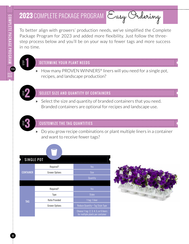# **2023** COMPLETE PACKAGE PROGRAM Easy Ordering

To better align with growers' production needs, we've simplified the Complete Package Program for 2023 and added more flexibility. Just follow the threestep process below and you'll be on your way to fewer tags and more success in no time.

## DETERMINE YOUR PLANT NEEDS **1**

**»** How many PROVEN WINNERS® liners will you need for a single pot, recipes, and landscape production?



STEP

## SELECT SIZE AND QUANTITY OF CONTAINERS

**»** Select the size and quantity of branded containers that you need. Branded containers are optional for recipes and landscape use.



## CUSTOMIZE THE TAG QUANTITIES

**»** Do you grow recipe combinations or plant multiple liners in a container and want to receive fewer tags?

| <b>SINGLE POT</b> |                       |                                                                            |
|-------------------|-----------------------|----------------------------------------------------------------------------|
|                   | Required?             | Yes                                                                        |
| <b>CONTAINER</b>  | <b>Grower Options</b> | <b>Size</b>                                                                |
|                   |                       | Quantity                                                                   |
|                   |                       |                                                                            |
| <b>TAG</b>        | Required?             | Yes                                                                        |
|                   | Type                  | <b>Stake</b>                                                               |
|                   | <b>Ratio Provided</b> | 1 tag: 1 liner                                                             |
|                   | <b>Grower Options</b> | Reduce Quantity + Tag Style Type                                           |
|                   |                       | Choose 1 tag: 2, 3, 4, 5, or 6 liners<br>for multiple plants per container |

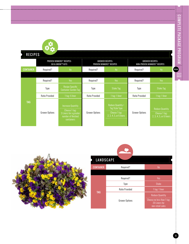| <b>RECIPES</b>   |                       | <b>PROVEN WINNERS® RECIPES:</b><br>GO & GROW™ KITS                                                      |                       | <b>GROWER RECIPES:</b><br><b>PROVEN WINNERS® RECIPES</b>                               |                       | <b>GROWER RECIPES:</b><br>NON-PROVEN WINNERS® RECIPES              |
|------------------|-----------------------|---------------------------------------------------------------------------------------------------------|-----------------------|----------------------------------------------------------------------------------------|-----------------------|--------------------------------------------------------------------|
| <b>CONTAINER</b> | Required?             | No                                                                                                      | Required?             | No                                                                                     | Required?             | No                                                                 |
|                  | Required?             | Yes                                                                                                     | Required?             | Yes                                                                                    | Required?             | Yes                                                                |
|                  | Type                  | Recipe Specific<br><b>Container Garden Tag</b>                                                          | Type                  | <b>Stake Tag</b>                                                                       | Type                  | Stake Tag                                                          |
|                  | <b>Ratio Provided</b> | 1 tag: 6 liner                                                                                          | Ratio Provided        | 1 tag: 1 liner                                                                         | <b>Ratio Provided</b> | 1 tag: 1 liner                                                     |
| <b>TAG</b>       | <b>Grower Options</b> | <b>Increase Quantity</b><br>Choose 1 tag:<br>3 Liners for a greater<br>number of finished<br>containers | <b>Grower Options</b> | Reduce Quantity +<br><b>Tag Style Type</b><br>Choose 1 tag:<br>2, 3, 4, 5, or 6 liners | <b>Grower Options</b> | <b>Reduce Quantity</b><br>Choose 1 tag:<br>2, 3, 4, 5, or 6 liners |



| <b>LANDSCAPE</b> |                       |                                                                                           |  |  |
|------------------|-----------------------|-------------------------------------------------------------------------------------------|--|--|
| <b>CONTAINER</b> | Required?             | No                                                                                        |  |  |
|                  |                       |                                                                                           |  |  |
|                  | Required?             | Yes                                                                                       |  |  |
|                  | Type                  | <b>Stake</b>                                                                              |  |  |
|                  | <b>Ratio Provided</b> | 1 tag: 1 liner                                                                            |  |  |
| <b>TAG</b>       | <b>Grower Options</b> | <b>Reduce Quantity</b><br>Choose no less than 1 tag:<br>20 Liners for<br>non-retail sales |  |  |

11